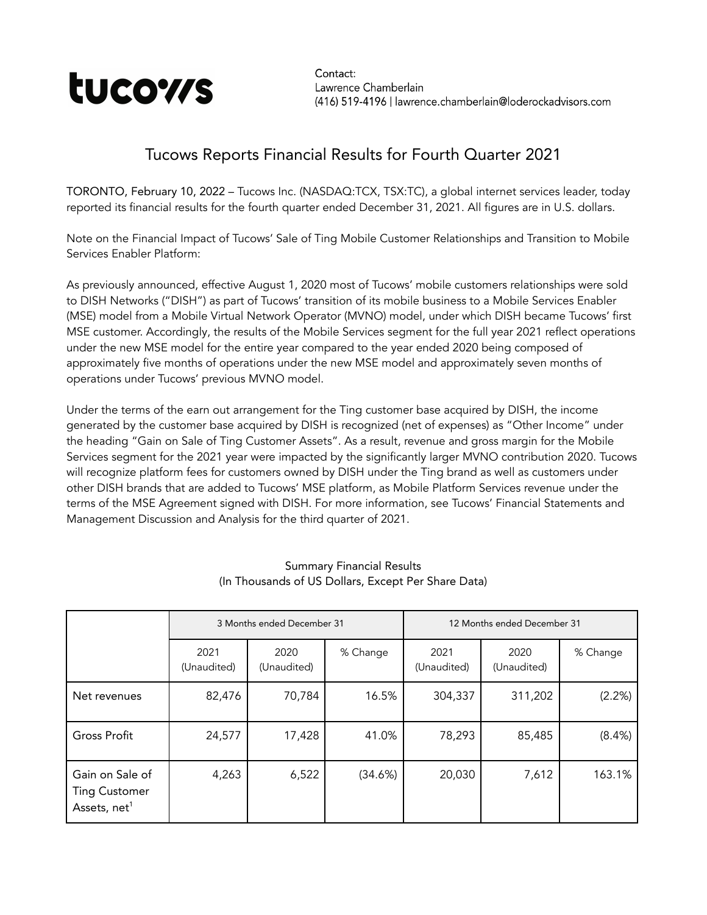

# Tucows Reports Financial Results for Fourth Quarter 2021

TORONTO, February 10, 2022 – Tucows Inc. (NASDAQ:TCX, TSX:TC), a global internet services leader, today reported its financial results for the fourth quarter ended December 31, 2021. All figures are in U.S. dollars.

Note on the Financial Impact of Tucows' Sale of Ting Mobile Customer Relationships and Transition to Mobile Services Enabler Platform:

As previously announced, effective August 1, 2020 most of Tucows' mobile customers relationships were sold to DISH Networks ("DISH") as part of Tucows' transition of its mobile business to a Mobile Services Enabler (MSE) model from a Mobile Virtual Network Operator (MVNO) model, under which DISH became Tucows' first MSE customer. Accordingly, the results of the Mobile Services segment for the full year 2021 reflect operations under the new MSE model for the entire year compared to the year ended 2020 being composed of approximately five months of operations under the new MSE model and approximately seven months of operations under Tucows' previous MVNO model.

Under the terms of the earn out arrangement for the Ting customer base acquired by DISH, the income generated by the customer base acquired by DISH is recognized (net of expenses) as "Other Income" under the heading "Gain on Sale of Ting Customer Assets". As a result, revenue and gross margin for the Mobile Services segment for the 2021 year were impacted by the significantly larger MVNO contribution 2020. Tucows will recognize platform fees for customers owned by DISH under the Ting brand as well as customers under other DISH brands that are added to Tucows' MSE platform, as Mobile Platform Services revenue under the terms of the MSE Agreement signed with DISH. For more information, see Tucows' Financial Statements and Management Discussion and Analysis for the third quarter of 2021.

|                                                                     |                     | 3 Months ended December 31 |          | 12 Months ended December 31 |                     |          |
|---------------------------------------------------------------------|---------------------|----------------------------|----------|-----------------------------|---------------------|----------|
|                                                                     | 2021<br>(Unaudited) | 2020<br>(Unaudited)        | % Change | 2021<br>(Unaudited)         | 2020<br>(Unaudited) | % Change |
| Net revenues                                                        | 82,476              | 70,784                     | 16.5%    | 304,337                     | 311,202             | (2.2%)   |
| Gross Profit                                                        | 24,577              | 17,428                     | 41.0%    | 78,293                      | 85,485              | (8.4%)   |
| Gain on Sale of<br><b>Ting Customer</b><br>Assets, net <sup>1</sup> | 4,263               | 6,522                      | (34.6%)  | 20,030                      | 7,612               | 163.1%   |

### Summary Financial Results (In Thousands of US Dollars, Except Per Share Data)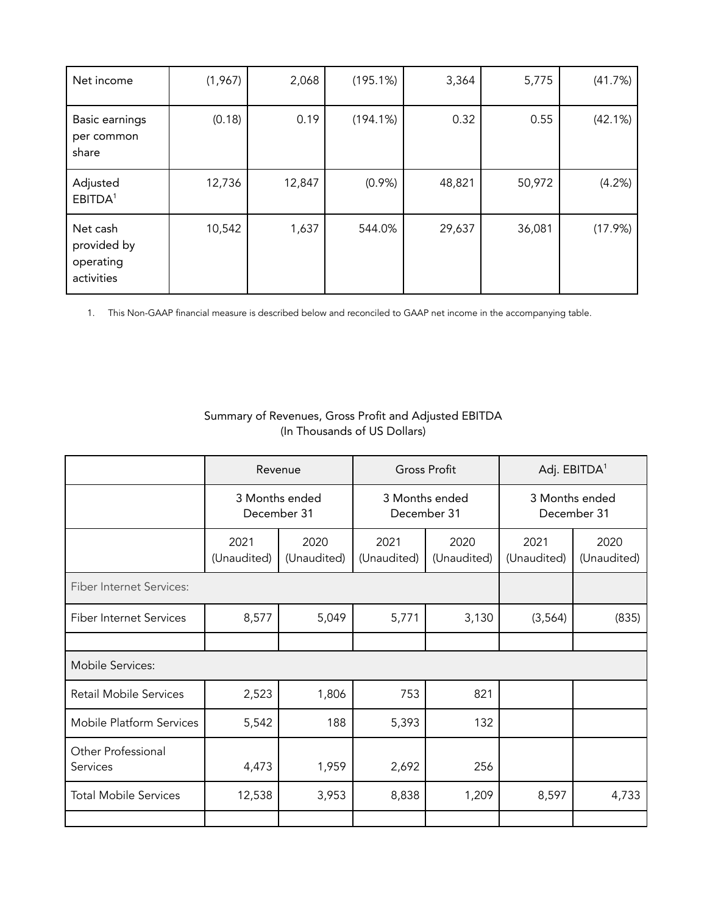| Net income                                         | (1,967) | 2,068  | (195.1%)    | 3,364  | 5,775  | (41.7%) |
|----------------------------------------------------|---------|--------|-------------|--------|--------|---------|
| Basic earnings<br>per common<br>share              | (0.18)  | 0.19   | $(194.1\%)$ | 0.32   | 0.55   | (42.1%) |
| Adjusted<br>EBITDA <sup>1</sup>                    | 12,736  | 12,847 | $(0.9\%)$   | 48,821 | 50,972 | (4.2%)  |
| Net cash<br>provided by<br>operating<br>activities | 10,542  | 1,637  | 544.0%      | 29,637 | 36,081 | (17.9%) |

1. This Non-GAAP financial measure is described below and reconciled to GAAP net income in the accompanying table.

# Summary of Revenues, Gross Profit and Adjusted EBITDA (In Thousands of US Dollars)

|                                 | Revenue                       |                     | <b>Gross Profit</b>           |                     | Adj. EBITDA <sup>1</sup>      |                     |
|---------------------------------|-------------------------------|---------------------|-------------------------------|---------------------|-------------------------------|---------------------|
|                                 | 3 Months ended<br>December 31 |                     | 3 Months ended<br>December 31 |                     | 3 Months ended<br>December 31 |                     |
|                                 | 2021<br>(Unaudited)           | 2020<br>(Unaudited) | 2021<br>(Unaudited)           | 2020<br>(Unaudited) | 2021<br>(Unaudited)           | 2020<br>(Unaudited) |
| <b>Fiber Internet Services:</b> |                               |                     |                               |                     |                               |                     |
| <b>Fiber Internet Services</b>  | 8,577                         | 5,049               | 5,771                         | 3,130               | (3, 564)                      | (835)               |
|                                 |                               |                     |                               |                     |                               |                     |
| Mobile Services:                |                               |                     |                               |                     |                               |                     |
| Retail Mobile Services          | 2,523                         | 1,806               | 753                           | 821                 |                               |                     |
| <b>Mobile Platform Services</b> | 5,542                         | 188                 | 5,393                         | 132                 |                               |                     |
| Other Professional<br>Services  | 4,473                         | 1,959               | 2,692                         | 256                 |                               |                     |
| <b>Total Mobile Services</b>    | 12,538                        | 3,953               | 8,838                         | 1,209               | 8,597                         | 4,733               |
|                                 |                               |                     |                               |                     |                               |                     |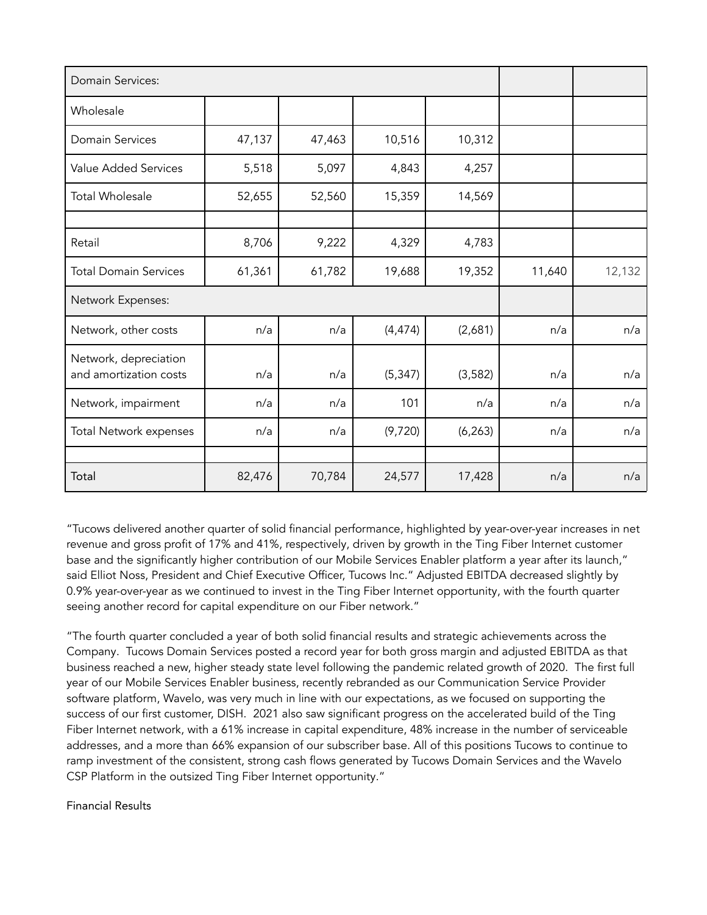| Domain Services:                                |        |        |          |          |        |        |
|-------------------------------------------------|--------|--------|----------|----------|--------|--------|
| Wholesale                                       |        |        |          |          |        |        |
| Domain Services                                 | 47,137 | 47,463 | 10,516   | 10,312   |        |        |
| <b>Value Added Services</b>                     | 5,518  | 5,097  | 4,843    | 4,257    |        |        |
| <b>Total Wholesale</b>                          | 52,655 | 52,560 | 15,359   | 14,569   |        |        |
|                                                 |        |        |          |          |        |        |
| Retail                                          | 8,706  | 9,222  | 4,329    | 4,783    |        |        |
| <b>Total Domain Services</b>                    | 61,361 | 61,782 | 19,688   | 19,352   | 11,640 | 12,132 |
| Network Expenses:                               |        |        |          |          |        |        |
| Network, other costs                            | n/a    | n/a    | (4, 474) | (2,681)  | n/a    | n/a    |
| Network, depreciation<br>and amortization costs | n/a    | n/a    | (5, 347) | (3,582)  | n/a    | n/a    |
| Network, impairment                             | n/a    | n/a    | 101      | n/a      | n/a    | n/a    |
| Total Network expenses                          | n/a    | n/a    | (9,720)  | (6, 263) | n/a    | n/a    |
|                                                 |        |        |          |          |        |        |
| Total                                           | 82,476 | 70,784 | 24,577   | 17,428   | n/a    | n/a    |

"Tucows delivered another quarter of solid financial performance, highlighted by year-over-year increases in net revenue and gross profit of 17% and 41%, respectively, driven by growth in the Ting Fiber Internet customer base and the significantly higher contribution of our Mobile Services Enabler platform a year after its launch," said Elliot Noss, President and Chief Executive Officer, Tucows Inc." Adjusted EBITDA decreased slightly by 0.9% year-over-year as we continued to invest in the Ting Fiber Internet opportunity, with the fourth quarter seeing another record for capital expenditure on our Fiber network."

"The fourth quarter concluded a year of both solid financial results and strategic achievements across the Company. Tucows Domain Services posted a record year for both gross margin and adjusted EBITDA as that business reached a new, higher steady state level following the pandemic related growth of 2020. The first full year of our Mobile Services Enabler business, recently rebranded as our Communication Service Provider software platform, Wavelo, was very much in line with our expectations, as we focused on supporting the success of our first customer, DISH. 2021 also saw significant progress on the accelerated build of the Ting Fiber Internet network, with a 61% increase in capital expenditure, 48% increase in the number of serviceable addresses, and a more than 66% expansion of our subscriber base. All of this positions Tucows to continue to ramp investment of the consistent, strong cash flows generated by Tucows Domain Services and the Wavelo CSP Platform in the outsized Ting Fiber Internet opportunity."

#### Financial Results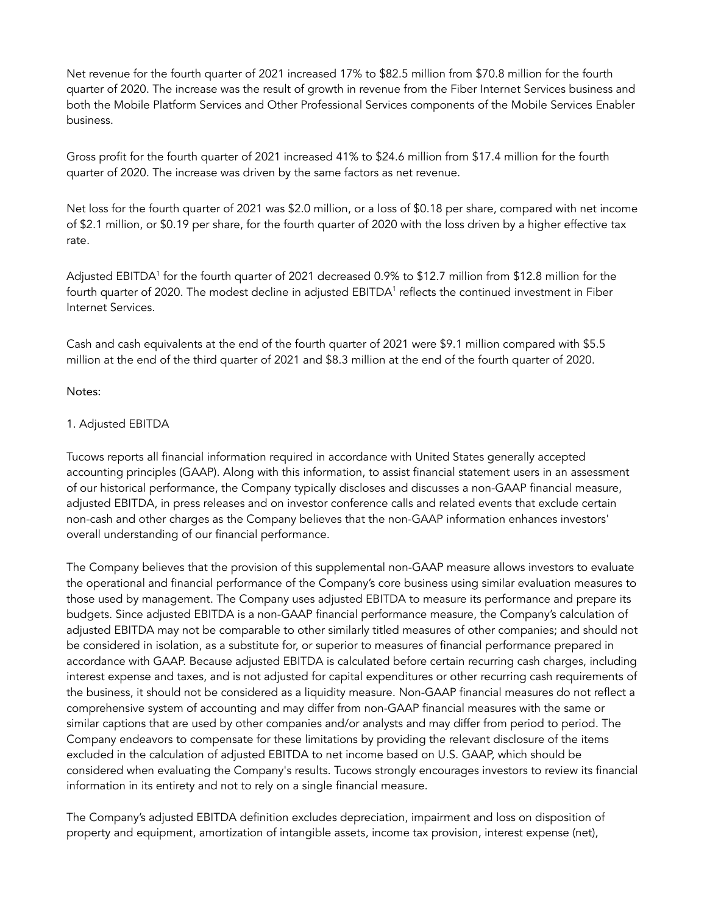Net revenue for the fourth quarter of 2021 increased 17% to \$82.5 million from \$70.8 million for the fourth quarter of 2020. The increase was the result of growth in revenue from the Fiber Internet Services business and both the Mobile Platform Services and Other Professional Services components of the Mobile Services Enabler business.

Gross profit for the fourth quarter of 2021 increased 41% to \$24.6 million from \$17.4 million for the fourth quarter of 2020. The increase was driven by the same factors as net revenue.

Net loss for the fourth quarter of 2021 was \$2.0 million, or a loss of \$0.18 per share, compared with net income of \$2.1 million, or \$0.19 per share, for the fourth quarter of 2020 with the loss driven by a higher effective tax rate.

Adjusted EBITDA<sup>1</sup> for the fourth quarter of 2021 decreased 0.9% to \$12.7 million from \$12.8 million for the fourth quarter of 2020. The modest decline in adjusted EBITDA 1 reflects the continued investment in Fiber Internet Services.

Cash and cash equivalents at the end of the fourth quarter of 2021 were \$9.1 million compared with \$5.5 million at the end of the third quarter of 2021 and \$8.3 million at the end of the fourth quarter of 2020.

Notes:

#### 1. Adjusted EBITDA

Tucows reports all financial information required in accordance with United States generally accepted accounting principles (GAAP). Along with this information, to assist financial statement users in an assessment of our historical performance, the Company typically discloses and discusses a non-GAAP financial measure, adjusted EBITDA, in press releases and on investor conference calls and related events that exclude certain non-cash and other charges as the Company believes that the non-GAAP information enhances investors' overall understanding of our financial performance.

The Company believes that the provision of this supplemental non-GAAP measure allows investors to evaluate the operational and financial performance of the Company's core business using similar evaluation measures to those used by management. The Company uses adjusted EBITDA to measure its performance and prepare its budgets. Since adjusted EBITDA is a non-GAAP financial performance measure, the Company's calculation of adjusted EBITDA may not be comparable to other similarly titled measures of other companies; and should not be considered in isolation, as a substitute for, or superior to measures of financial performance prepared in accordance with GAAP. Because adjusted EBITDA is calculated before certain recurring cash charges, including interest expense and taxes, and is not adjusted for capital expenditures or other recurring cash requirements of the business, it should not be considered as a liquidity measure. Non-GAAP financial measures do not reflect a comprehensive system of accounting and may differ from non-GAAP financial measures with the same or similar captions that are used by other companies and/or analysts and may differ from period to period. The Company endeavors to compensate for these limitations by providing the relevant disclosure of the items excluded in the calculation of adjusted EBITDA to net income based on U.S. GAAP, which should be considered when evaluating the Company's results. Tucows strongly encourages investors to review its financial information in its entirety and not to rely on a single financial measure.

The Company's adjusted EBITDA definition excludes depreciation, impairment and loss on disposition of property and equipment, amortization of intangible assets, income tax provision, interest expense (net),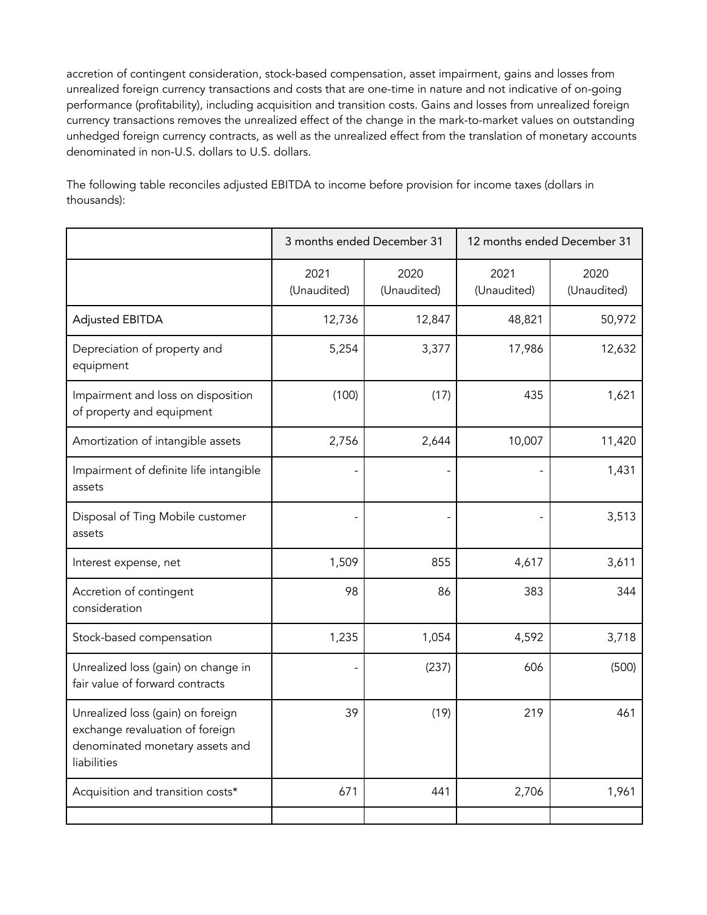accretion of contingent consideration, stock-based compensation, asset impairment, gains and losses from unrealized foreign currency transactions and costs that are one-time in nature and not indicative of on-going performance (profitability), including acquisition and transition costs. Gains and losses from unrealized foreign currency transactions removes the unrealized effect of the change in the mark-to-market values on outstanding unhedged foreign currency contracts, as well as the unrealized effect from the translation of monetary accounts denominated in non-U.S. dollars to U.S. dollars.

The following table reconciles adjusted EBITDA to income before provision for income taxes (dollars in thousands):

|                                                                                                                        | 3 months ended December 31 |                     | 12 months ended December 31 |                     |
|------------------------------------------------------------------------------------------------------------------------|----------------------------|---------------------|-----------------------------|---------------------|
|                                                                                                                        | 2021<br>(Unaudited)        | 2020<br>(Unaudited) | 2021<br>(Unaudited)         | 2020<br>(Unaudited) |
| <b>Adjusted EBITDA</b>                                                                                                 | 12,736                     | 12,847              | 48,821                      | 50,972              |
| Depreciation of property and<br>equipment                                                                              | 5,254                      | 3,377               | 17,986                      | 12,632              |
| Impairment and loss on disposition<br>of property and equipment                                                        | (100)                      | (17)                | 435                         | 1,621               |
| Amortization of intangible assets                                                                                      | 2,756                      | 2,644               | 10,007                      | 11,420              |
| Impairment of definite life intangible<br>assets                                                                       |                            |                     |                             | 1,431               |
| Disposal of Ting Mobile customer<br>assets                                                                             |                            |                     |                             | 3,513               |
| Interest expense, net                                                                                                  | 1,509                      | 855                 | 4,617                       | 3,611               |
| Accretion of contingent<br>consideration                                                                               | 98                         | 86                  | 383                         | 344                 |
| Stock-based compensation                                                                                               | 1,235                      | 1,054               | 4,592                       | 3,718               |
| Unrealized loss (gain) on change in<br>fair value of forward contracts                                                 |                            | (237)               | 606                         | (500)               |
| Unrealized loss (gain) on foreign<br>exchange revaluation of foreign<br>denominated monetary assets and<br>liabilities | 39                         | (19)                | 219                         | 461                 |
| Acquisition and transition costs*                                                                                      | 671                        | 441                 | 2,706                       | 1,961               |
|                                                                                                                        |                            |                     |                             |                     |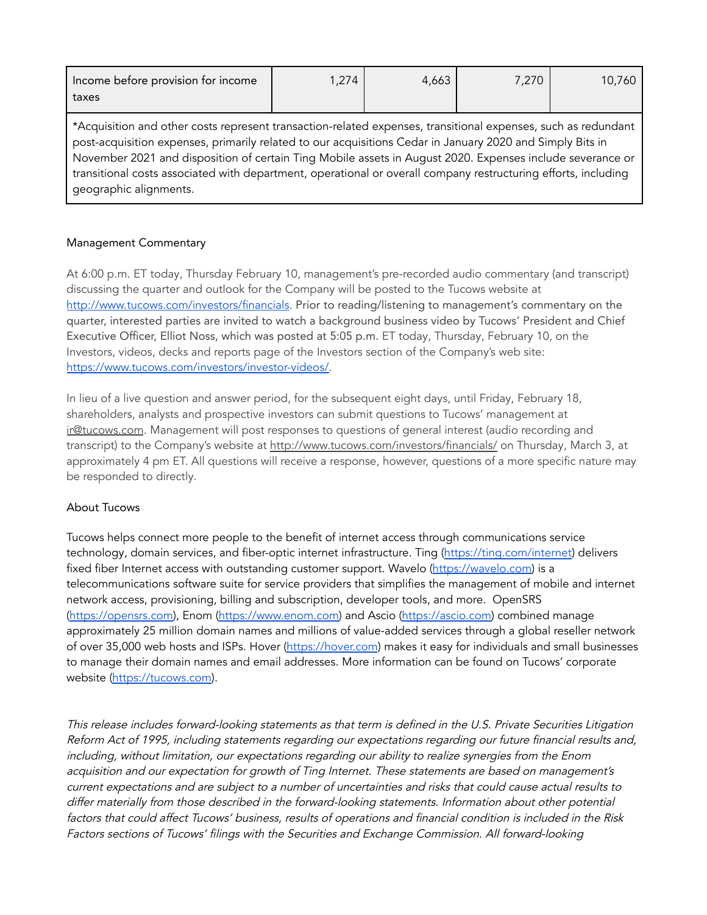| Income before provision for income<br>taxes                                                                                                                                                                                                                                                                                                                                                                                                                                         | 1,274 | 4,663 | 7,270 | 10,760 |
|-------------------------------------------------------------------------------------------------------------------------------------------------------------------------------------------------------------------------------------------------------------------------------------------------------------------------------------------------------------------------------------------------------------------------------------------------------------------------------------|-------|-------|-------|--------|
| *Acquisition and other costs represent transaction-related expenses, transitional expenses, such as redundant<br>post-acquisition expenses, primarily related to our acquisitions Cedar in January 2020 and Simply Bits in<br>November 2021 and disposition of certain Ting Mobile assets in August 2020. Expenses include severance or<br>transitional costs associated with department, operational or overall company restructuring efforts, including<br>geographic alignments. |       |       |       |        |

#### Management Commentary

At 6:00 p.m. ET today, Thursday February 10, management's pre-recorded audio commentary (and transcript) discussing the quarter and outlook for the Company will be posted to the Tucows website at [http://www.tucows.com/investors/financials.](http://www.tucows.com/investors/financials) Prior to reading/listening to management's commentary on the quarter, interested parties are invited to watch a background business video by Tucows' President and Chief Executive Officer, Elliot Noss, which was posted at 5:05 p.m. ET today, Thursday, February 10, on the Investors, videos, decks and reports page of the Investors section of the Company's web site: [https://www.tucows.com/investors/investor-videos/.](https://www.tucows.com/investors/investor-videos/)

In lieu of a live question and answer period, for the subsequent eight days, until Friday, February 18, shareholders, analysts and prospective investors can submit questions to Tucows' management at ir@tucows.com. Management will post responses to questions of general interest (audio recording and transcript) to the Company's website at <http://www.tucows.com/investors/financials/> on Thursday, March 3, at approximately 4 pm ET. All questions will receive a response, however, questions of a more specific nature may be responded to directly.

## About Tucows

Tucows helps connect more people to the benefit of internet access through communications service technology, domain services, and fiber-optic internet infrastructure. Ting (<https://ting.com/internet>) delivers fixed fiber Internet access with outstanding customer support. Wavelo ([https://wavelo.com\)](https://wavelo.com) is a telecommunications software suite for service providers that simplifies the management of mobile and internet network access, provisioning, billing and subscription, developer tools, and more. OpenSRS [\(https://opensrs.com\)](https://opensrs.com/), Enom [\(https://www.enom.com\)](https://www.enom.com/) and Ascio [\(https://ascio.com\)](https://ascio.com/) combined manage approximately 25 million domain names and millions of value-added services through a global reseller network of over 35,000 web hosts and ISPs. Hover [\(https://hover.com](https://hover.com/)) makes it easy for individuals and small businesses to manage their domain names and email addresses. More information can be found on Tucows' corporate website [\(https://tucows.com](https://tucows.com/)).

This release includes forward-looking statements as that term is defined in the U.S. Private Securities Litigation Reform Act of 1995, including statements regarding our expectations regarding our future financial results and, including, without limitation, our expectations regarding our ability to realize synergies from the Enom acquisition and our expectation for growth of Ting Internet. These statements are based on management's current expectations and are subject to <sup>a</sup> number of uncertainties and risks that could cause actual results to differ materially from those described in the forward-looking statements. Information about other potential factors that could affect Tucows' business, results of operations and financial condition is included in the Risk Factors sections of Tucows' filings with the Securities and Exchange Commission. All forward-looking